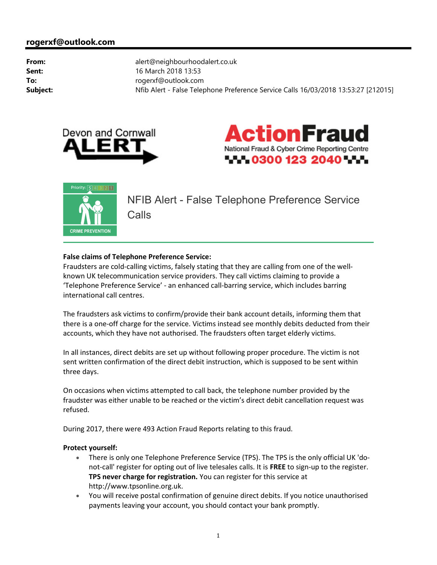## rogerxf@outlook.com

From: alert@neighbourhoodalert.co.uk **Sent:** 16 March 2018 13:53 To: To: rogerxf@outlook.com Subject: Nfib Alert - False Telephone Preference Service Calls 16/03/2018 13:53:27 [212015]







NFIB Alert - False Telephone Preference Service **Calls** 

## False claims of Telephone Preference Service:

Fraudsters are cold-calling victims, falsely stating that they are calling from one of the wellknown UK telecommunication service providers. They call victims claiming to provide a 'Telephone Preference Service' - an enhanced call-barring service, which includes barring international call centres.

The fraudsters ask victims to confirm/provide their bank account details, informing them that there is a one-off charge for the service. Victims instead see monthly debits deducted from their accounts, which they have not authorised. The fraudsters often target elderly victims.

In all instances, direct debits are set up without following proper procedure. The victim is not sent written confirmation of the direct debit instruction, which is supposed to be sent within three days.

On occasions when victims attempted to call back, the telephone number provided by the fraudster was either unable to be reached or the victim's direct debit cancellation request was refused.

During 2017, there were 493 Action Fraud Reports relating to this fraud.

## Protect yourself:

- There is only one Telephone Preference Service (TPS). The TPS is the only official UK 'donot-call' register for opting out of live telesales calls. It is FREE to sign-up to the register. TPS never charge for registration. You can register for this service at http://www.tpsonline.org.uk.
- You will receive postal confirmation of genuine direct debits. If you notice unauthorised payments leaving your account, you should contact your bank promptly.